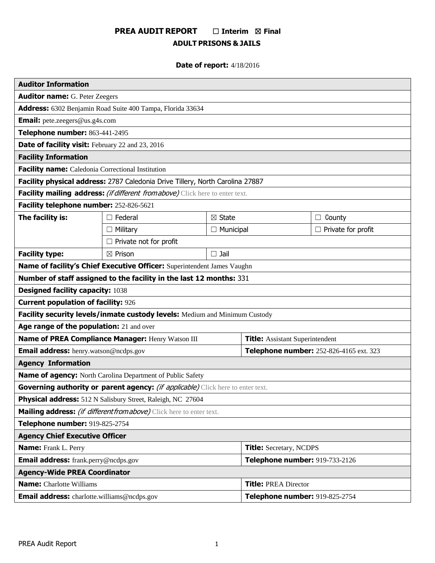# **PREA AUDIT REPORT** ☐ **Interim** ☒ **Final ADULT PRISONS & JAILS**

# **Date of report:** 4/18/2016

| <b>Auditor Information</b>                                                      |                               |                   |                                         |                           |
|---------------------------------------------------------------------------------|-------------------------------|-------------------|-----------------------------------------|---------------------------|
| <b>Auditor name: G. Peter Zeegers</b>                                           |                               |                   |                                         |                           |
| Address: 6302 Benjamin Road Suite 400 Tampa, Florida 33634                      |                               |                   |                                         |                           |
| <b>Email:</b> pete.zeegers@us.g4s.com                                           |                               |                   |                                         |                           |
| Telephone number: 863-441-2495                                                  |                               |                   |                                         |                           |
| Date of facility visit: February 22 and 23, 2016                                |                               |                   |                                         |                           |
| <b>Facility Information</b>                                                     |                               |                   |                                         |                           |
| Facility name: Caledonia Correctional Institution                               |                               |                   |                                         |                           |
| Facility physical address: 2787 Caledonia Drive Tillery, North Carolina 27887   |                               |                   |                                         |                           |
| Facility mailing address: (if different from above) Click here to enter text.   |                               |                   |                                         |                           |
| Facility telephone number: 252-826-5621                                         |                               |                   |                                         |                           |
| The facility is:                                                                | $\Box$ Federal                | $\boxtimes$ State |                                         | County<br>⊔               |
|                                                                                 | $\Box$ Military               | $\Box$ Municipal  |                                         | $\Box$ Private for profit |
|                                                                                 | $\Box$ Private not for profit |                   |                                         |                           |
| <b>Facility type:</b>                                                           | $\boxtimes$ Prison            | $\square$ Jail    |                                         |                           |
| Name of facility's Chief Executive Officer: Superintendent James Vaughn         |                               |                   |                                         |                           |
| Number of staff assigned to the facility in the last 12 months: 331             |                               |                   |                                         |                           |
| <b>Designed facility capacity: 1038</b>                                         |                               |                   |                                         |                           |
| <b>Current population of facility: 926</b>                                      |                               |                   |                                         |                           |
| Facility security levels/inmate custody levels: Medium and Minimum Custody      |                               |                   |                                         |                           |
| Age range of the population: 21 and over                                        |                               |                   |                                         |                           |
| Name of PREA Compliance Manager: Henry Watson III                               |                               |                   | <b>Title:</b> Assistant Superintendent  |                           |
| Email address: henry.watson@ncdps.gov                                           |                               |                   | Telephone number: 252-826-4165 ext. 323 |                           |
| <b>Agency Information</b>                                                       |                               |                   |                                         |                           |
| <b>Name of agency:</b> North Carolina Department of Public Safety               |                               |                   |                                         |                           |
| Governing authority or parent agency: (if applicable) Click here to enter text. |                               |                   |                                         |                           |
| Physical address: 512 N Salisbury Street, Raleigh, NC 27604                     |                               |                   |                                         |                           |
| Mailing address: (if different from above) Click here to enter text.            |                               |                   |                                         |                           |
| Telephone number: 919-825-2754                                                  |                               |                   |                                         |                           |
| <b>Agency Chief Executive Officer</b>                                           |                               |                   |                                         |                           |
| <b>Name:</b> Frank L. Perry                                                     |                               |                   | <b>Title:</b> Secretary, NCDPS          |                           |
| <b>Email address:</b> frank.perry@ncdps.gov                                     |                               |                   | Telephone number: 919-733-2126          |                           |
| <b>Agency-Wide PREA Coordinator</b>                                             |                               |                   |                                         |                           |
| <b>Name:</b> Charlotte Williams                                                 |                               |                   | <b>Title: PREA Director</b>             |                           |
| <b>Email address:</b> charlotte.williams@ncdps.gov                              |                               |                   | Telephone number: 919-825-2754          |                           |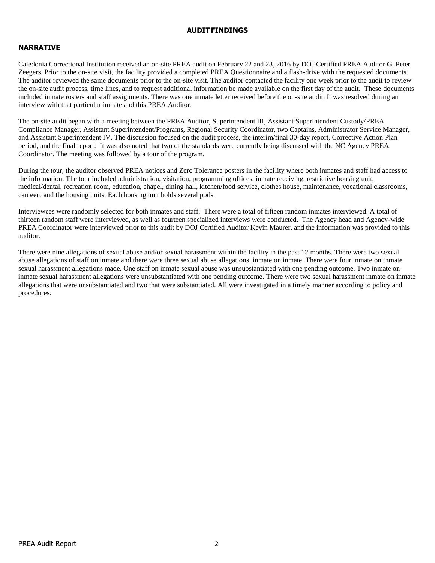#### **AUDITFINDINGS**

# **NARRATIVE**

Caledonia Correctional Institution received an on-site PREA audit on February 22 and 23, 2016 by DOJ Certified PREA Auditor G. Peter Zeegers. Prior to the on-site visit, the facility provided a completed PREA Questionnaire and a flash-drive with the requested documents. The auditor reviewed the same documents prior to the on-site visit. The auditor contacted the facility one week prior to the audit to review the on-site audit process, time lines, and to request additional information be made available on the first day of the audit. These documents included inmate rosters and staff assignments. There was one inmate letter received before the on-site audit. It was resolved during an interview with that particular inmate and this PREA Auditor.

The on-site audit began with a meeting between the PREA Auditor, Superintendent III, Assistant Superintendent Custody/PREA Compliance Manager, Assistant Superintendent/Programs, Regional Security Coordinator, two Captains, Administrator Service Manager, and Assistant Superintendent IV. The discussion focused on the audit process, the interim/final 30-day report, Corrective Action Plan period, and the final report. It was also noted that two of the standards were currently being discussed with the NC Agency PREA Coordinator. The meeting was followed by a tour of the program.

During the tour, the auditor observed PREA notices and Zero Tolerance posters in the facility where both inmates and staff had access to the information. The tour included administration, visitation, programming offices, inmate receiving, restrictive housing unit, medical/dental, recreation room, education, chapel, dining hall, kitchen/food service, clothes house, maintenance, vocational classrooms, canteen, and the housing units. Each housing unit holds several pods.

Interviewees were randomly selected for both inmates and staff. There were a total of fifteen random inmates interviewed. A total of thirteen random staff were interviewed, as well as fourteen specialized interviews were conducted. The Agency head and Agency-wide PREA Coordinator were interviewed prior to this audit by DOJ Certified Auditor Kevin Maurer, and the information was provided to this auditor.

There were nine allegations of sexual abuse and/or sexual harassment within the facility in the past 12 months. There were two sexual abuse allegations of staff on inmate and there were three sexual abuse allegations, inmate on inmate. There were four inmate on inmate sexual harassment allegations made. One staff on inmate sexual abuse was unsubstantiated with one pending outcome. Two inmate on inmate sexual harassment allegations were unsubstantiated with one pending outcome. There were two sexual harassment inmate on inmate allegations that were unsubstantiated and two that were substantiated. All were investigated in a timely manner according to policy and procedures.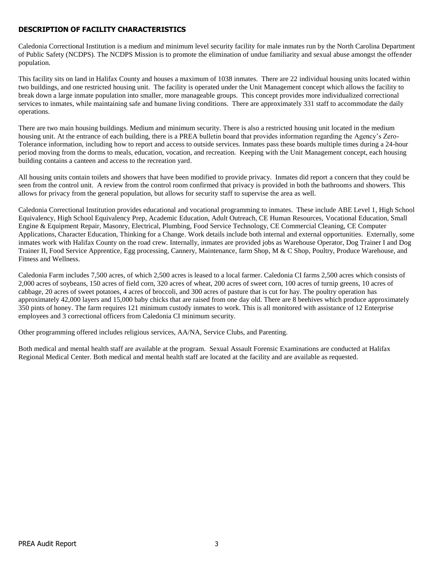# **DESCRIPTION OF FACILITY CHARACTERISTICS**

Caledonia Correctional Institution is a medium and minimum level security facility for male inmates run by the North Carolina Department of Public Safety (NCDPS). The NCDPS Mission is to promote the elimination of undue familiarity and sexual abuse amongst the offender population.

This facility sits on land in Halifax County and houses a maximum of 1038 inmates. There are 22 individual housing units located within two buildings, and one restricted housing unit. The facility is operated under the Unit Management concept which allows the facility to break down a large inmate population into smaller, more manageable groups. This concept provides more individualized correctional services to inmates, while maintaining safe and humane living conditions. There are approximately 331 staff to accommodate the daily operations.

There are two main housing buildings. Medium and minimum security. There is also a restricted housing unit located in the medium housing unit. At the entrance of each building, there is a PREA bulletin board that provides information regarding the Agency's Zero-Tolerance information, including how to report and access to outside services. Inmates pass these boards multiple times during a 24-hour period moving from the dorms to meals, education, vocation, and recreation. Keeping with the Unit Management concept, each housing building contains a canteen and access to the recreation yard.

All housing units contain toilets and showers that have been modified to provide privacy. Inmates did report a concern that they could be seen from the control unit. A review from the control room confirmed that privacy is provided in both the bathrooms and showers. This allows for privacy from the general population, but allows for security staff to supervise the area as well.

Caledonia Correctional Institution provides educational and vocational programming to inmates. These include ABE Level 1, High School Equivalency, High School Equivalency Prep, Academic Education, Adult Outreach, CE Human Resources, Vocational Education, Small Engine & Equipment Repair, Masonry, Electrical, Plumbing, Food Service Technology, CE Commercial Cleaning, CE Computer Applications, Character Education, Thinking for a Change. Work details include both internal and external opportunities. Externally, some inmates work with Halifax County on the road crew. Internally, inmates are provided jobs as Warehouse Operator, Dog Trainer I and Dog Trainer II, Food Service Apprentice, Egg processing, Cannery, Maintenance, farm Shop, M & C Shop, Poultry, Produce Warehouse, and Fitness and Wellness.

Caledonia Farm includes 7,500 acres, of which 2,500 acres is leased to a local farmer. Caledonia CI farms 2,500 acres which consists of 2,000 acres of soybeans, 150 acres of field corn, 320 acres of wheat, 200 acres of sweet corn, 100 acres of turnip greens, 10 acres of cabbage, 20 acres of sweet potatoes, 4 acres of broccoli, and 300 acres of pasture that is cut for hay. The poultry operation has approximately 42,000 layers and 15,000 baby chicks that are raised from one day old. There are 8 beehives which produce approximately 350 pints of honey. The farm requires 121 minimum custody inmates to work. This is all monitored with assistance of 12 Enterprise employees and 3 correctional officers from Caledonia CI minimum security.

Other programming offered includes religious services, AA/NA, Service Clubs, and Parenting.

Both medical and mental health staff are available at the program. Sexual Assault Forensic Examinations are conducted at Halifax Regional Medical Center. Both medical and mental health staff are located at the facility and are available as requested.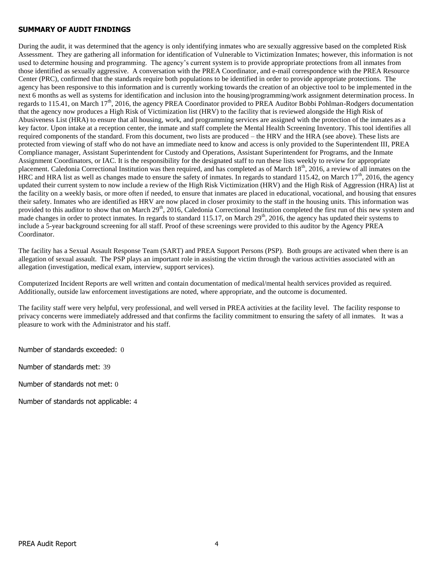#### **SUMMARY OF AUDIT FINDINGS**

During the audit, it was determined that the agency is only identifying inmates who are sexually aggressive based on the completed Risk Assessment. They are gathering all information for identification of Vulnerable to Victimization Inmates; however, this information is not used to determine housing and programming. The agency's current system is to provide appropriate protections from all inmates from those identified as sexually aggressive. A conversation with the PREA Coordinator, and e-mail correspondence with the PREA Resource Center (PRC), confirmed that the standards require both populations to be identified in order to provide appropriate protections. The agency has been responsive to this information and is currently working towards the creation of an objective tool to be implemented in the next 6 months as well as systems for identification and inclusion into the housing/programming/work assignment determination process. In regards to 115.41, on March  $17<sup>th</sup>$ , 2016, the agency PREA Coordinator provided to PREA Auditor Bobbi Pohlman-Rodgers documentation that the agency now produces a High Risk of Victimization list (HRV) to the facility that is reviewed alongside the High Risk of Abusiveness List (HRA) to ensure that all housing, work, and programming services are assigned with the protection of the inmates as a key factor. Upon intake at a reception center, the inmate and staff complete the Mental Health Screening Inventory. This tool identifies all required components of the standard. From this document, two lists are produced – the HRV and the HRA (see above). These lists are protected from viewing of staff who do not have an immediate need to know and access is only provided to the Superintendent III, PREA Compliance manager, Assistant Superintendent for Custody and Operations, Assistant Superintendent for Programs, and the Inmate Assignment Coordinators, or IAC. It is the responsibility for the designated staff to run these lists weekly to review for appropriate placement. Caledonia Correctional Institution was then required, and has completed as of March 18<sup>th</sup>, 2016, a review of all inmates on the HRC and HRA list as well as changes made to ensure the safety of inmates. In regards to standard 115.42, on March  $17<sup>th</sup>$ , 2016, the agency updated their current system to now include a review of the High Risk Victimization (HRV) and the High Risk of Aggression (HRA) list at the facility on a weekly basis, or more often if needed, to ensure that inmates are placed in educational, vocational, and housing that ensures their safety. Inmates who are identified as HRV are now placed in closer proximity to the staff in the housing units. This information was provided to this auditor to show that on March 29<sup>th</sup>, 2016, Caledonia Correctional Institution completed the first run of this new system and made changes in order to protect inmates. In regards to standard 115.17, on March 29<sup>th</sup>, 2016, the agency has updated their systems to include a 5-year background screening for all staff. Proof of these screenings were provided to this auditor by the Agency PREA Coordinator.

The facility has a Sexual Assault Response Team (SART) and PREA Support Persons (PSP). Both groups are activated when there is an allegation of sexual assault. The PSP plays an important role in assisting the victim through the various activities associated with an allegation (investigation, medical exam, interview, support services).

Computerized Incident Reports are well written and contain documentation of medical/mental health services provided as required. Additionally, outside law enforcement investigations are noted, where appropriate, and the outcome is documented.

The facility staff were very helpful, very professional, and well versed in PREA activities at the facility level. The facility response to privacy concerns were immediately addressed and that confirms the facility commitment to ensuring the safety of all inmates. It was a pleasure to work with the Administrator and his staff.

Number of standards exceeded: 0

Number of standards met: 39

Number of standards not met: 0

Number of standards not applicable: 4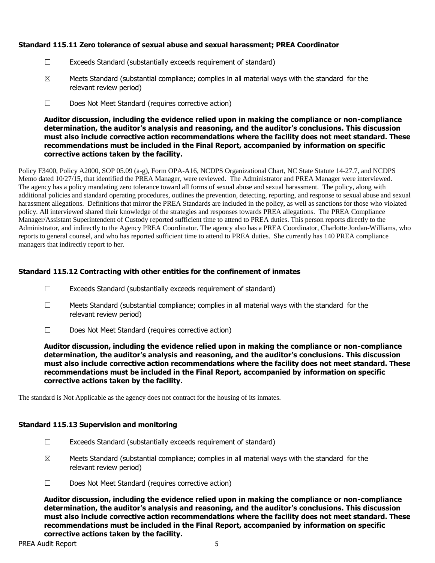# **Standard 115.11 Zero tolerance of sexual abuse and sexual harassment; PREA Coordinator**

- ☐ Exceeds Standard (substantially exceeds requirement of standard)
- $\boxtimes$  Meets Standard (substantial compliance; complies in all material ways with the standard for the relevant review period)
- ☐ Does Not Meet Standard (requires corrective action)

**Auditor discussion, including the evidence relied upon in making the compliance or non-compliance determination, the auditor's analysis and reasoning, and the auditor's conclusions. This discussion must also include corrective action recommendations where the facility does not meet standard. These recommendations must be included in the Final Report, accompanied by information on specific corrective actions taken by the facility.**

Policy F3400, Policy A2000, SOP 05.09 (a-g), Form OPA-A16, NCDPS Organizational Chart, NC State Statute 14-27.7, and NCDPS Memo dated 10/27/15, that identified the PREA Manager, were reviewed. The Administrator and PREA Manager were interviewed. The agency has a policy mandating zero tolerance toward all forms of sexual abuse and sexual harassment. The policy, along with additional policies and standard operating procedures, outlines the prevention, detecting, reporting, and response to sexual abuse and sexual harassment allegations. Definitions that mirror the PREA Standards are included in the policy, as well as sanctions for those who violated policy. All interviewed shared their knowledge of the strategies and responses towards PREA allegations. The PREA Compliance Manager/Assistant Superintendent of Custody reported sufficient time to attend to PREA duties. This person reports directly to the Administrator, and indirectly to the Agency PREA Coordinator. The agency also has a PREA Coordinator, Charlotte Jordan-Williams, who reports to general counsel, and who has reported sufficient time to attend to PREA duties. She currently has 140 PREA compliance managers that indirectly report to her.

# **Standard 115.12 Contracting with other entities for the confinement of inmates**

- $\Box$  Exceeds Standard (substantially exceeds requirement of standard)
- ☐ Meets Standard (substantial compliance; complies in all material ways with the standard for the relevant review period)
- ☐ Does Not Meet Standard (requires corrective action)

**Auditor discussion, including the evidence relied upon in making the compliance or non-compliance determination, the auditor's analysis and reasoning, and the auditor's conclusions. This discussion must also include corrective action recommendations where the facility does not meet standard. These recommendations must be included in the Final Report, accompanied by information on specific corrective actions taken by the facility.**

The standard is Not Applicable as the agency does not contract for the housing of its inmates.

## **Standard 115.13 Supervision and monitoring**

- ☐ Exceeds Standard (substantially exceeds requirement of standard)
- $\boxtimes$  Meets Standard (substantial compliance; complies in all material ways with the standard for the relevant review period)
- ☐ Does Not Meet Standard (requires corrective action)

**Auditor discussion, including the evidence relied upon in making the compliance or non-compliance determination, the auditor's analysis and reasoning, and the auditor's conclusions. This discussion must also include corrective action recommendations where the facility does not meet standard. These recommendations must be included in the Final Report, accompanied by information on specific corrective actions taken by the facility.**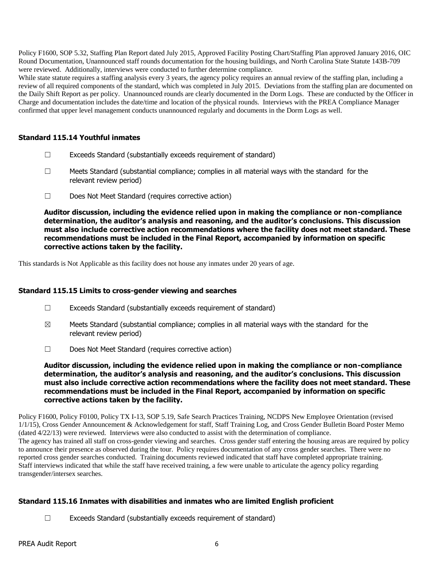Policy F1600, SOP 5.32, Staffing Plan Report dated July 2015, Approved Facility Posting Chart/Staffing Plan approved January 2016, OIC Round Documentation, Unannounced staff rounds documentation for the housing buildings, and North Carolina State Statute 143B-709 were reviewed. Additionally, interviews were conducted to further determine compliance.

While state statute requires a staffing analysis every 3 years, the agency policy requires an annual review of the staffing plan, including a review of all required components of the standard, which was completed in July 2015. Deviations from the staffing plan are documented on the Daily Shift Report as per policy. Unannounced rounds are clearly documented in the Dorm Logs. These are conducted by the Officer in Charge and documentation includes the date/time and location of the physical rounds. Interviews with the PREA Compliance Manager confirmed that upper level management conducts unannounced regularly and documents in the Dorm Logs as well.

## **Standard 115.14 Youthful inmates**

- $\Box$  Exceeds Standard (substantially exceeds requirement of standard)
- $\Box$  Meets Standard (substantial compliance; complies in all material ways with the standard for the relevant review period)
- ☐ Does Not Meet Standard (requires corrective action)

**Auditor discussion, including the evidence relied upon in making the compliance or non-compliance determination, the auditor's analysis and reasoning, and the auditor's conclusions. This discussion must also include corrective action recommendations where the facility does not meet standard. These recommendations must be included in the Final Report, accompanied by information on specific corrective actions taken by the facility.**

This standards is Not Applicable as this facility does not house any inmates under 20 years of age.

#### **Standard 115.15 Limits to cross-gender viewing and searches**

- ☐ Exceeds Standard (substantially exceeds requirement of standard)
- $\boxtimes$  Meets Standard (substantial compliance; complies in all material ways with the standard for the relevant review period)
- ☐ Does Not Meet Standard (requires corrective action)

**Auditor discussion, including the evidence relied upon in making the compliance or non-compliance determination, the auditor's analysis and reasoning, and the auditor's conclusions. This discussion must also include corrective action recommendations where the facility does not meet standard. These recommendations must be included in the Final Report, accompanied by information on specific corrective actions taken by the facility.**

Policy F1600, Policy F0100, Policy TX I-13, SOP 5.19, Safe Search Practices Training, NCDPS New Employee Orientation (revised 1/1/15), Cross Gender Announcement & Acknowledgement for staff, Staff Training Log, and Cross Gender Bulletin Board Poster Memo (dated 4/22/13) were reviewed. Interviews were also conducted to assist with the determination of compliance. The agency has trained all staff on cross-gender viewing and searches. Cross gender staff entering the housing areas are required by policy to announce their presence as observed during the tour. Policy requires documentation of any cross gender searches. There were no reported cross gender searches conducted. Training documents reviewed indicated that staff have completed appropriate training. Staff interviews indicated that while the staff have received training, a few were unable to articulate the agency policy regarding transgender/intersex searches.

## **Standard 115.16 Inmates with disabilities and inmates who are limited English proficient**

 $\Box$  Exceeds Standard (substantially exceeds requirement of standard)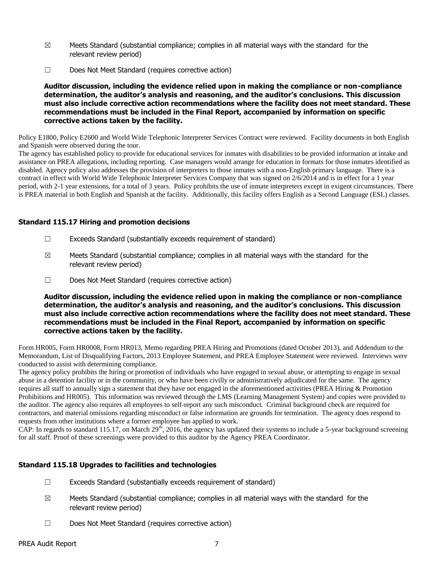- $\boxtimes$  Meets Standard (substantial compliance; complies in all material ways with the standard for the relevant review period)
- ☐ Does Not Meet Standard (requires corrective action)

**Auditor discussion, including the evidence relied upon in making the compliance or non-compliance determination, the auditor's analysis and reasoning, and the auditor's conclusions. This discussion must also include corrective action recommendations where the facility does not meet standard. These recommendations must be included in the Final Report, accompanied by information on specific corrective actions taken by the facility.**

Policy E1800, Policy E2600 and World Wide Telephonic Interpreter Services Contract were reviewed. Facility documents in both English and Spanish were observed during the tour.

The agency has established policy to provide for educational services for inmates with disabilities to be provided information at intake and assistance on PREA allegations, including reporting. Case managers would arrange for education in formats for those inmates identified as disabled. Agency policy also addresses the provision of interpreters to those inmates with a non-English primary language. There is a contract in effect with World Wide Telephonic Interpreter Services Company that was signed on 2/6/2014 and is in effect for a 1 year period, with 2-1 year extensions, for a total of 3 years. Policy prohibits the use of inmate interpreters except in exigent circumstances. There is PREA material in both English and Spanish at the facility. Additionally, this facility offers English as a Second Language (ESL) classes.

## **Standard 115.17 Hiring and promotion decisions**

- ☐ Exceeds Standard (substantially exceeds requirement of standard)
- $\boxtimes$  Meets Standard (substantial compliance; complies in all material ways with the standard for the relevant review period)
- ☐ Does Not Meet Standard (requires corrective action)

**Auditor discussion, including the evidence relied upon in making the compliance or non-compliance determination, the auditor's analysis and reasoning, and the auditor's conclusions. This discussion must also include corrective action recommendations where the facility does not meet standard. These recommendations must be included in the Final Report, accompanied by information on specific corrective actions taken by the facility.**

Form HR005, Form HR0008, Form HR013, Memo regarding PREA Hiring and Promotions (dated October 2013), and Addendum to the Memorandum, List of Disqualifying Factors, 2013 Employee Statement, and PREA Employee Statement were reviewed. Interviews were conducted to assist with determining compliance.

The agency policy prohibits the hiring or promotion of individuals who have engaged in sexual abuse, or attempting to engage in sexual abuse in a detention facility or in the community, or who have been civilly or administratively adjudicated for the same. The agency requires all staff to annually sign a statement that they have not engaged in the aforementioned activities (PREA Hiring & Promotion Prohibitions and HR005). This information was reviewed through the LMS (Learning Management System) and copies were provided to the auditor. The agency also requires all employees to self-report any such misconduct. Criminal background check are required for contractors, and material omissions regarding misconduct or false information are grounds for termination. The agency does respond to requests from other institutions where a former employee has applied to work.

CAP: In regards to standard 115.17, on March 29<sup>th</sup>, 2016, the agency has updated their systems to include a 5-year background screening for all staff. Proof of these screenings were provided to this auditor by the Agency PREA Coordinator.

# **Standard 115.18 Upgrades to facilities and technologies**

- $\Box$  Exceeds Standard (substantially exceeds requirement of standard)
- $\boxtimes$  Meets Standard (substantial compliance; complies in all material ways with the standard for the relevant review period)
- ☐ Does Not Meet Standard (requires corrective action)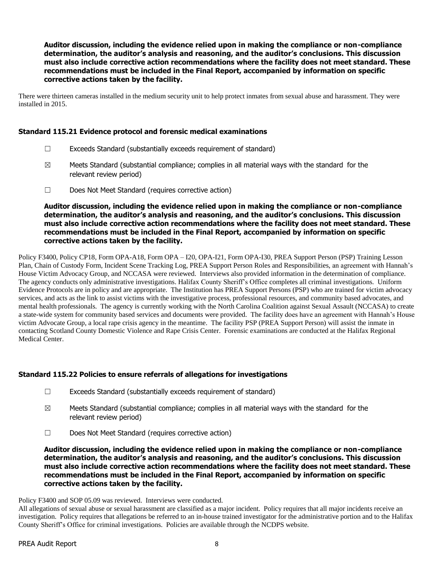**Auditor discussion, including the evidence relied upon in making the compliance or non-compliance determination, the auditor's analysis and reasoning, and the auditor's conclusions. This discussion must also include corrective action recommendations where the facility does not meet standard. These recommendations must be included in the Final Report, accompanied by information on specific corrective actions taken by the facility.**

There were thirteen cameras installed in the medium security unit to help protect inmates from sexual abuse and harassment. They were installed in 2015.

#### **Standard 115.21 Evidence protocol and forensic medical examinations**

- ☐ Exceeds Standard (substantially exceeds requirement of standard)
- $\boxtimes$  Meets Standard (substantial compliance; complies in all material ways with the standard for the relevant review period)
- ☐ Does Not Meet Standard (requires corrective action)

**Auditor discussion, including the evidence relied upon in making the compliance or non-compliance determination, the auditor's analysis and reasoning, and the auditor's conclusions. This discussion must also include corrective action recommendations where the facility does not meet standard. These recommendations must be included in the Final Report, accompanied by information on specific corrective actions taken by the facility.**

Policy F3400, Policy CP18, Form OPA-A18, Form OPA – I20, OPA-I21, Form OPA-I30, PREA Support Person (PSP) Training Lesson Plan, Chain of Custody Form, Incident Scene Tracking Log, PREA Support Person Roles and Responsibilities, an agreement with Hannah's House Victim Advocacy Group, and NCCASA were reviewed. Interviews also provided information in the determination of compliance. The agency conducts only administrative investigations. Halifax County Sheriff's Office completes all criminal investigations. Uniform Evidence Protocols are in policy and are appropriate. The Institution has PREA Support Persons (PSP) who are trained for victim advocacy services, and acts as the link to assist victims with the investigative process, professional resources, and community based advocates, and mental health professionals. The agency is currently working with the North Carolina Coalition against Sexual Assault (NCCASA) to create a state-wide system for community based services and documents were provided. The facility does have an agreement with Hannah's House victim Advocate Group, a local rape crisis agency in the meantime. The facility PSP (PREA Support Person) will assist the inmate in contacting Scotland County Domestic Violence and Rape Crisis Center. Forensic examinations are conducted at the Halifax Regional Medical Center.

## **Standard 115.22 Policies to ensure referrals of allegations for investigations**

- $\Box$  Exceeds Standard (substantially exceeds requirement of standard)
- $\boxtimes$  Meets Standard (substantial compliance; complies in all material ways with the standard for the relevant review period)
- ☐ Does Not Meet Standard (requires corrective action)

**Auditor discussion, including the evidence relied upon in making the compliance or non-compliance determination, the auditor's analysis and reasoning, and the auditor's conclusions. This discussion must also include corrective action recommendations where the facility does not meet standard. These recommendations must be included in the Final Report, accompanied by information on specific corrective actions taken by the facility.**

#### Policy F3400 and SOP 05.09 was reviewed. Interviews were conducted.

All allegations of sexual abuse or sexual harassment are classified as a major incident. Policy requires that all major incidents receive an investigation. Policy requires that allegations be referred to an in-house trained investigator for the administrative portion and to the Halifax County Sheriff's Office for criminal investigations. Policies are available through the NCDPS website.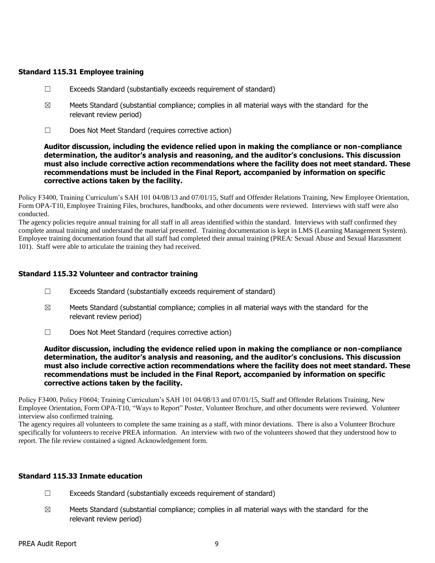## **Standard 115.31 Employee training**

- $\Box$  Exceeds Standard (substantially exceeds requirement of standard)
- $\boxtimes$  Meets Standard (substantial compliance; complies in all material ways with the standard for the relevant review period)
- ☐ Does Not Meet Standard (requires corrective action)

#### **Auditor discussion, including the evidence relied upon in making the compliance or non-compliance determination, the auditor's analysis and reasoning, and the auditor's conclusions. This discussion must also include corrective action recommendations where the facility does not meet standard. These recommendations must be included in the Final Report, accompanied by information on specific corrective actions taken by the facility.**

Policy F3400, Training Curriculum's SAH 101 04/08/13 and 07/01/15, Staff and Offender Relations Training, New Employee Orientation, Form OPA-T10, Employee Training Files, brochures, handbooks, and other documents were reviewed. Interviews with staff were also conducted.

The agency policies require annual training for all staff in all areas identified within the standard. Interviews with staff confirmed they complete annual training and understand the material presented. Training documentation is kept in LMS (Learning Management System). Employee training documentation found that all staff had completed their annual training (PREA: Sexual Abuse and Sexual Harassment 101). Staff were able to articulate the training they had received.

#### **Standard 115.32 Volunteer and contractor training**

- ☐ Exceeds Standard (substantially exceeds requirement of standard)
- $\boxtimes$  Meets Standard (substantial compliance; complies in all material ways with the standard for the relevant review period)
- ☐ Does Not Meet Standard (requires corrective action)

**Auditor discussion, including the evidence relied upon in making the compliance or non-compliance determination, the auditor's analysis and reasoning, and the auditor's conclusions. This discussion must also include corrective action recommendations where the facility does not meet standard. These recommendations must be included in the Final Report, accompanied by information on specific corrective actions taken by the facility.**

Policy F3400, Policy F0604; Training Curriculum's SAH 101 04/08/13 and 07/01/15, Staff and Offender Relations Training, New Employee Orientation, Form OPA-T10, "Ways to Report" Poster, Volunteer Brochure, and other documents were reviewed. Volunteer interview also confirmed training.

The agency requires all volunteers to complete the same training as a staff, with minor deviations. There is also a Volunteer Brochure specifically for volunteers to receive PREA information. An interview with two of the volunteers showed that they understood how to report. The file review contained a signed Acknowledgement form.

#### **Standard 115.33 Inmate education**

- ☐ Exceeds Standard (substantially exceeds requirement of standard)
- $\boxtimes$  Meets Standard (substantial compliance; complies in all material ways with the standard for the relevant review period)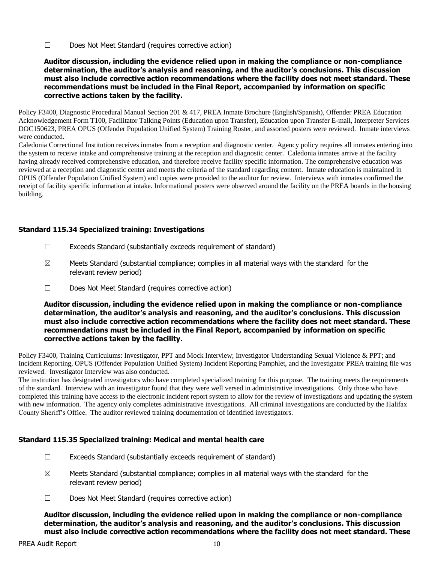☐ Does Not Meet Standard (requires corrective action)

#### **Auditor discussion, including the evidence relied upon in making the compliance or non-compliance determination, the auditor's analysis and reasoning, and the auditor's conclusions. This discussion must also include corrective action recommendations where the facility does not meet standard. These recommendations must be included in the Final Report, accompanied by information on specific corrective actions taken by the facility.**

Policy F3400, Diagnostic Procedural Manual Section 201 & 417, PREA Inmate Brochure (English/Spanish), Offender PREA Education Acknowledgement Form T100, Facilitator Talking Points (Education upon Transfer), Education upon Transfer E-mail, Interpreter Services DOC150623, PREA OPUS (Offender Population Unified System) Training Roster, and assorted posters were reviewed. Inmate interviews were conducted.

Caledonia Correctional Institution receives inmates from a reception and diagnostic center. Agency policy requires all inmates entering into the system to receive intake and comprehensive training at the reception and diagnostic center. Caledonia inmates arrive at the facility having already received comprehensive education, and therefore receive facility specific information. The comprehensive education was reviewed at a reception and diagnostic center and meets the criteria of the standard regarding content. Inmate education is maintained in OPUS (Offender Population Unified System) and copies were provided to the auditor for review. Interviews with inmates confirmed the receipt of facility specific information at intake. Informational posters were observed around the facility on the PREA boards in the housing building.

## **Standard 115.34 Specialized training: Investigations**

- ☐ Exceeds Standard (substantially exceeds requirement of standard)
- $\boxtimes$  Meets Standard (substantial compliance; complies in all material ways with the standard for the relevant review period)
- ☐ Does Not Meet Standard (requires corrective action)

**Auditor discussion, including the evidence relied upon in making the compliance or non-compliance determination, the auditor's analysis and reasoning, and the auditor's conclusions. This discussion must also include corrective action recommendations where the facility does not meet standard. These recommendations must be included in the Final Report, accompanied by information on specific corrective actions taken by the facility.**

Policy F3400, Training Curriculums: Investigator, PPT and Mock Interview; Investigator Understanding Sexual Violence & PPT; and Incident Reporting, OPUS (Offender Population Unified System) Incident Reporting Pamphlet, and the Investigator PREA training file was reviewed. Investigator Interview was also conducted.

The institution has designated investigators who have completed specialized training for this purpose. The training meets the requirements of the standard. Interview with an investigator found that they were well versed in administrative investigations. Only those who have completed this training have access to the electronic incident report system to allow for the review of investigations and updating the system with new information. The agency only completes administrative investigations. All criminal investigations are conducted by the Halifax County Sheriff's Office. The auditor reviewed training documentation of identified investigators.

## **Standard 115.35 Specialized training: Medical and mental health care**

- ☐ Exceeds Standard (substantially exceeds requirement of standard)
- $\boxtimes$  Meets Standard (substantial compliance; complies in all material ways with the standard for the relevant review period)
- ☐ Does Not Meet Standard (requires corrective action)

**Auditor discussion, including the evidence relied upon in making the compliance or non-compliance determination, the auditor's analysis and reasoning, and the auditor's conclusions. This discussion must also include corrective action recommendations where the facility does not meet standard. These**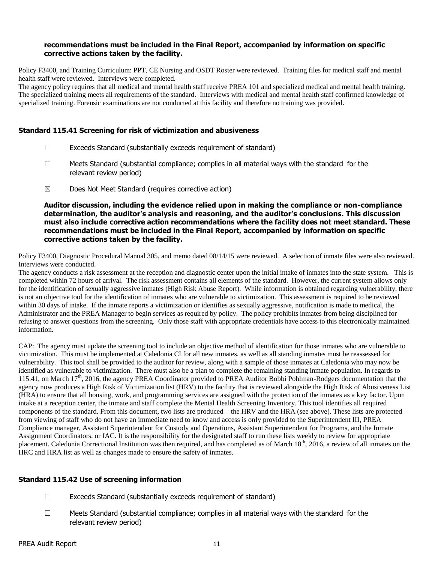#### **recommendations must be included in the Final Report, accompanied by information on specific corrective actions taken by the facility.**

Policy F3400, and Training Curriculum: PPT, CE Nursing and OSDT Roster were reviewed. Training files for medical staff and mental health staff were reviewed. Interviews were completed.

The agency policy requires that all medical and mental health staff receive PREA 101 and specialized medical and mental health training. The specialized training meets all requirements of the standard. Interviews with medical and mental health staff confirmed knowledge of specialized training. Forensic examinations are not conducted at this facility and therefore no training was provided.

#### **Standard 115.41 Screening for risk of victimization and abusiveness**

- $\Box$  Exceeds Standard (substantially exceeds requirement of standard)
- ☐ Meets Standard (substantial compliance; complies in all material ways with the standard for the relevant review period)
- ☒ Does Not Meet Standard (requires corrective action)

**Auditor discussion, including the evidence relied upon in making the compliance or non-compliance determination, the auditor's analysis and reasoning, and the auditor's conclusions. This discussion must also include corrective action recommendations where the facility does not meet standard. These recommendations must be included in the Final Report, accompanied by information on specific corrective actions taken by the facility.**

Policy F3400, Diagnostic Procedural Manual 305, and memo dated 08/14/15 were reviewed. A selection of inmate files were also reviewed. Interviews were conducted.

The agency conducts a risk assessment at the reception and diagnostic center upon the initial intake of inmates into the state system. This is completed within 72 hours of arrival. The risk assessment contains all elements of the standard. However, the current system allows only for the identification of sexually aggressive inmates (High Risk Abuse Report). While information is obtained regarding vulnerability, there is not an objective tool for the identification of inmates who are vulnerable to victimization. This assessment is required to be reviewed within 30 days of intake. If the inmate reports a victimization or identifies as sexually aggressive, notification is made to medical, the Administrator and the PREA Manager to begin services as required by policy. The policy prohibits inmates from being disciplined for refusing to answer questions from the screening. Only those staff with appropriate credentials have access to this electronically maintained information.

CAP: The agency must update the screening tool to include an objective method of identification for those inmates who are vulnerable to victimization. This must be implemented at Caledonia CI for all new inmates, as well as all standing inmates must be reassessed for vulnerability. This tool shall be provided to the auditor for review, along with a sample of those inmates at Caledonia who may now be identified as vulnerable to victimization. There must also be a plan to complete the remaining standing inmate population. In regards to 115.41, on March 17<sup>th</sup>, 2016, the agency PREA Coordinator provided to PREA Auditor Bobbi Pohlman-Rodgers documentation that the agency now produces a High Risk of Victimization list (HRV) to the facility that is reviewed alongside the High Risk of Abusiveness List (HRA) to ensure that all housing, work, and programming services are assigned with the protection of the inmates as a key factor. Upon intake at a reception center, the inmate and staff complete the Mental Health Screening Inventory. This tool identifies all required components of the standard. From this document, two lists are produced – the HRV and the HRA (see above). These lists are protected from viewing of staff who do not have an immediate need to know and access is only provided to the Superintendent III, PREA Compliance manager, Assistant Superintendent for Custody and Operations, Assistant Superintendent for Programs, and the Inmate Assignment Coordinators, or IAC. It is the responsibility for the designated staff to run these lists weekly to review for appropriate placement. Caledonia Correctional Institution was then required, and has completed as of March 18<sup>th</sup>, 2016, a review of all inmates on the HRC and HRA list as well as changes made to ensure the safety of inmates.

## **Standard 115.42 Use of screening information**

- $\Box$  Exceeds Standard (substantially exceeds requirement of standard)
- $\square$  Meets Standard (substantial compliance; complies in all material ways with the standard for the relevant review period)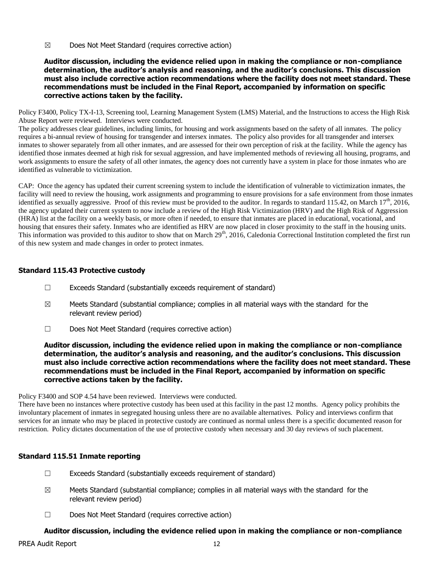☒ Does Not Meet Standard (requires corrective action)

**Auditor discussion, including the evidence relied upon in making the compliance or non-compliance determination, the auditor's analysis and reasoning, and the auditor's conclusions. This discussion must also include corrective action recommendations where the facility does not meet standard. These recommendations must be included in the Final Report, accompanied by information on specific corrective actions taken by the facility.**

Policy F3400, Policy TX-I-13, Screening tool, Learning Management System (LMS) Material, and the Instructions to access the High Risk Abuse Report were reviewed. Interviews were conducted.

The policy addresses clear guidelines, including limits, for housing and work assignments based on the safety of all inmates. The policy requires a bi-annual review of housing for transgender and intersex inmates. The policy also provides for all transgender and intersex inmates to shower separately from all other inmates, and are assessed for their own perception of risk at the facility. While the agency has identified those inmates deemed at high risk for sexual aggression, and have implemented methods of reviewing all housing, programs, and work assignments to ensure the safety of all other inmates, the agency does not currently have a system in place for those inmates who are identified as vulnerable to victimization.

CAP: Once the agency has updated their current screening system to include the identification of vulnerable to victimization inmates, the facility will need to review the housing, work assignments and programming to ensure provisions for a safe environment from those inmates identified as sexually aggressive. Proof of this review must be provided to the auditor. In regards to standard 115.42, on March 17<sup>th</sup>, 2016, the agency updated their current system to now include a review of the High Risk Victimization (HRV) and the High Risk of Aggression (HRA) list at the facility on a weekly basis, or more often if needed, to ensure that inmates are placed in educational, vocational, and housing that ensures their safety. Inmates who are identified as HRV are now placed in closer proximity to the staff in the housing units. This information was provided to this auditor to show that on March 29<sup>th</sup>, 2016, Caledonia Correctional Institution completed the first run of this new system and made changes in order to protect inmates.

# **Standard 115.43 Protective custody**

- $\Box$  Exceeds Standard (substantially exceeds requirement of standard)
- $\boxtimes$  Meets Standard (substantial compliance; complies in all material ways with the standard for the relevant review period)
- ☐ Does Not Meet Standard (requires corrective action)

**Auditor discussion, including the evidence relied upon in making the compliance or non-compliance determination, the auditor's analysis and reasoning, and the auditor's conclusions. This discussion must also include corrective action recommendations where the facility does not meet standard. These recommendations must be included in the Final Report, accompanied by information on specific corrective actions taken by the facility.**

Policy F3400 and SOP 4.54 have been reviewed. Interviews were conducted.

There have been no instances where protective custody has been used at this facility in the past 12 months. Agency policy prohibits the involuntary placement of inmates in segregated housing unless there are no available alternatives. Policy and interviews confirm that services for an inmate who may be placed in protective custody are continued as normal unless there is a specific documented reason for restriction. Policy dictates documentation of the use of protective custody when necessary and 30 day reviews of such placement.

## **Standard 115.51 Inmate reporting**

- ☐ Exceeds Standard (substantially exceeds requirement of standard)
- $\boxtimes$  Meets Standard (substantial compliance; complies in all material ways with the standard for the relevant review period)
- ☐ Does Not Meet Standard (requires corrective action)

## **Auditor discussion, including the evidence relied upon in making the compliance or non-compliance**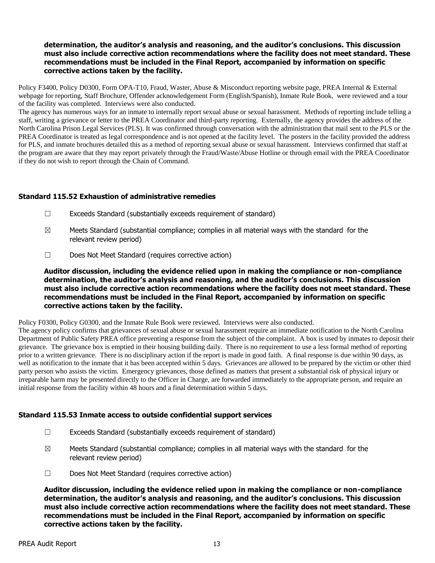## **determination, the auditor's analysis and reasoning, and the auditor's conclusions. This discussion must also include corrective action recommendations where the facility does not meet standard. These recommendations must be included in the Final Report, accompanied by information on specific corrective actions taken by the facility.**

Policy F3400, Policy D0300, Form OPA-T10, Fraud, Waster, Abuse & Misconduct reporting website page, PREA Internal & External webpage for reporting, Staff Brochure, Offender acknowledgement Form (English/Spanish), Inmate Rule Book, were reviewed and a tour of the facility was completed. Interviews were also conducted.

The agency has numerous ways for an inmate to internally report sexual abuse or sexual harassment. Methods of reporting include telling a staff, writing a grievance or letter to the PREA Coordinator and third-party reporting. Externally, the agency provides the address of the North Carolina Prison Legal Services (PLS). It was confirmed through conversation with the administration that mail sent to the PLS or the PREA Coordinator is treated as legal correspondence and is not opened at the facility level. The posters in the facility provided the address for PLS, and inmate brochures detailed this as a method of reporting sexual abuse or sexual harassment. Interviews confirmed that staff at the program are aware that they may report privately through the Fraud/Waste/Abuse Hotline or through email with the PREA Coordinator if they do not wish to report through the Chain of Command.

#### **Standard 115.52 Exhaustion of administrative remedies**

- $\Box$  Exceeds Standard (substantially exceeds requirement of standard)
- $\boxtimes$  Meets Standard (substantial compliance; complies in all material ways with the standard for the relevant review period)
- ☐ Does Not Meet Standard (requires corrective action)

**Auditor discussion, including the evidence relied upon in making the compliance or non-compliance determination, the auditor's analysis and reasoning, and the auditor's conclusions. This discussion must also include corrective action recommendations where the facility does not meet standard. These recommendations must be included in the Final Report, accompanied by information on specific corrective actions taken by the facility.**

Policy F0300, Policy G0300, and the Inmate Rule Book were reviewed. Interviews were also conducted.

The agency policy confirms that grievances of sexual abuse or sexual harassment require an immediate notification to the North Carolina Department of Public Safety PREA office preventing a response from the subject of the complaint. A box is used by inmates to deposit their grievance. The grievance box is emptied in their housing building daily. There is no requirement to use a less formal method of reporting prior to a written grievance. There is no disciplinary action if the report is made in good faith. A final response is due within 90 days, as well as notification to the inmate that it has been accepted within 5 days. Grievances are allowed to be prepared by the victim or other third party person who assists the victim. Emergency grievances, those defined as matters that present a substantial risk of physical injury or irreparable harm may be presented directly to the Officer in Charge, are forwarded immediately to the appropriate person, and require an initial response from the facility within 48 hours and a final determination within 5 days.

## **Standard 115.53 Inmate access to outside confidential support services**

- $\Box$  Exceeds Standard (substantially exceeds requirement of standard)
- $\boxtimes$  Meets Standard (substantial compliance; complies in all material ways with the standard for the relevant review period)
- ☐ Does Not Meet Standard (requires corrective action)

**Auditor discussion, including the evidence relied upon in making the compliance or non-compliance determination, the auditor's analysis and reasoning, and the auditor's conclusions. This discussion must also include corrective action recommendations where the facility does not meet standard. These recommendations must be included in the Final Report, accompanied by information on specific corrective actions taken by the facility.**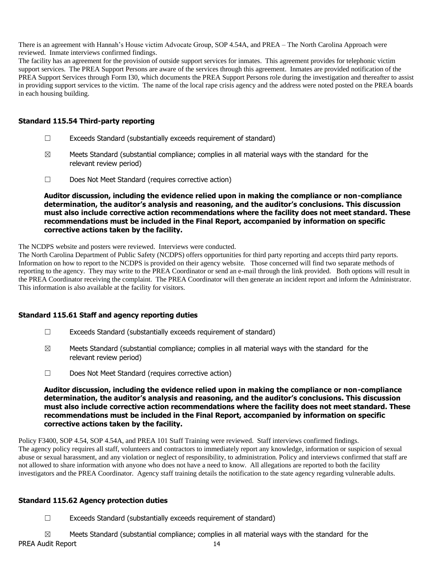There is an agreement with Hannah's House victim Advocate Group, SOP 4.54A, and PREA – The North Carolina Approach were reviewed. Inmate interviews confirmed findings.

The facility has an agreement for the provision of outside support services for inmates. This agreement provides for telephonic victim support services. The PREA Support Persons are aware of the services through this agreement. Inmates are provided notification of the PREA Support Services through Form I30, which documents the PREA Support Persons role during the investigation and thereafter to assist in providing support services to the victim. The name of the local rape crisis agency and the address were noted posted on the PREA boards in each housing building.

#### **Standard 115.54 Third-party reporting**

- $\Box$  Exceeds Standard (substantially exceeds requirement of standard)
- $\boxtimes$  Meets Standard (substantial compliance; complies in all material ways with the standard for the relevant review period)
- ☐ Does Not Meet Standard (requires corrective action)

**Auditor discussion, including the evidence relied upon in making the compliance or non-compliance determination, the auditor's analysis and reasoning, and the auditor's conclusions. This discussion must also include corrective action recommendations where the facility does not meet standard. These recommendations must be included in the Final Report, accompanied by information on specific corrective actions taken by the facility.**

The NCDPS website and posters were reviewed. Interviews were conducted.

The North Carolina Department of Public Safety (NCDPS) offers opportunities for third party reporting and accepts third party reports. Information on how to report to the NCDPS is provided on their agency website. Those concerned will find two separate methods of reporting to the agency. They may write to the PREA Coordinator or send an e-mail through the link provided. Both options will result in the PREA Coordinator receiving the complaint. The PREA Coordinator will then generate an incident report and inform the Administrator. This information is also available at the facility for visitors.

## **Standard 115.61 Staff and agency reporting duties**

- $\Box$  Exceeds Standard (substantially exceeds requirement of standard)
- $\boxtimes$  Meets Standard (substantial compliance; complies in all material ways with the standard for the relevant review period)
- ☐ Does Not Meet Standard (requires corrective action)

**Auditor discussion, including the evidence relied upon in making the compliance or non-compliance determination, the auditor's analysis and reasoning, and the auditor's conclusions. This discussion must also include corrective action recommendations where the facility does not meet standard. These recommendations must be included in the Final Report, accompanied by information on specific corrective actions taken by the facility.**

Policy F3400, SOP 4.54, SOP 4.54A, and PREA 101 Staff Training were reviewed. Staff interviews confirmed findings. The agency policy requires all staff, volunteers and contractors to immediately report any knowledge, information or suspicion of sexual abuse or sexual harassment, and any violation or neglect of responsibility, to administration. Policy and interviews confirmed that staff are not allowed to share information with anyone who does not have a need to know. All allegations are reported to both the facility investigators and the PREA Coordinator. Agency staff training details the notification to the state agency regarding vulnerable adults.

## **Standard 115.62 Agency protection duties**

☐ Exceeds Standard (substantially exceeds requirement of standard)

PREA Audit Report 14  $\boxtimes$  Meets Standard (substantial compliance; complies in all material ways with the standard for the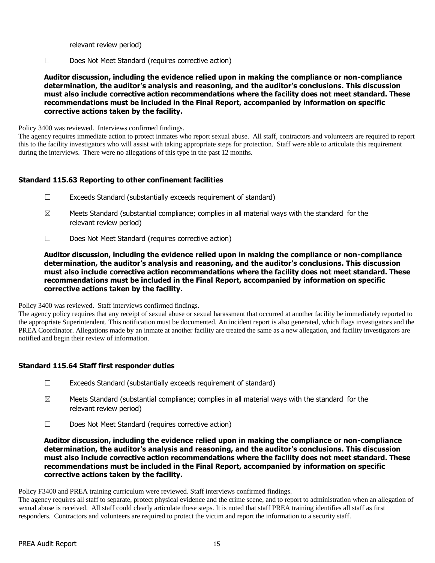relevant review period)

☐ Does Not Meet Standard (requires corrective action)

**Auditor discussion, including the evidence relied upon in making the compliance or non-compliance determination, the auditor's analysis and reasoning, and the auditor's conclusions. This discussion must also include corrective action recommendations where the facility does not meet standard. These recommendations must be included in the Final Report, accompanied by information on specific corrective actions taken by the facility.**

Policy 3400 was reviewed. Interviews confirmed findings.

The agency requires immediate action to protect inmates who report sexual abuse. All staff, contractors and volunteers are required to report this to the facility investigators who will assist with taking appropriate steps for protection. Staff were able to articulate this requirement during the interviews. There were no allegations of this type in the past 12 months.

## **Standard 115.63 Reporting to other confinement facilities**

- ☐ Exceeds Standard (substantially exceeds requirement of standard)
- $\boxtimes$  Meets Standard (substantial compliance; complies in all material ways with the standard for the relevant review period)
- ☐ Does Not Meet Standard (requires corrective action)

**Auditor discussion, including the evidence relied upon in making the compliance or non-compliance determination, the auditor's analysis and reasoning, and the auditor's conclusions. This discussion must also include corrective action recommendations where the facility does not meet standard. These recommendations must be included in the Final Report, accompanied by information on specific corrective actions taken by the facility.**

Policy 3400 was reviewed. Staff interviews confirmed findings.

The agency policy requires that any receipt of sexual abuse or sexual harassment that occurred at another facility be immediately reported to the appropriate Superintendent. This notification must be documented. An incident report is also generated, which flags investigators and the PREA Coordinator. Allegations made by an inmate at another facility are treated the same as a new allegation, and facility investigators are notified and begin their review of information.

## **Standard 115.64 Staff first responder duties**

- $\Box$  Exceeds Standard (substantially exceeds requirement of standard)
- $\boxtimes$  Meets Standard (substantial compliance; complies in all material ways with the standard for the relevant review period)
- ☐ Does Not Meet Standard (requires corrective action)

**Auditor discussion, including the evidence relied upon in making the compliance or non-compliance determination, the auditor's analysis and reasoning, and the auditor's conclusions. This discussion must also include corrective action recommendations where the facility does not meet standard. These recommendations must be included in the Final Report, accompanied by information on specific corrective actions taken by the facility.**

Policy F3400 and PREA training curriculum were reviewed. Staff interviews confirmed findings.

The agency requires all staff to separate, protect physical evidence and the crime scene, and to report to administration when an allegation of sexual abuse is received. All staff could clearly articulate these steps. It is noted that staff PREA training identifies all staff as first responders. Contractors and volunteers are required to protect the victim and report the information to a security staff.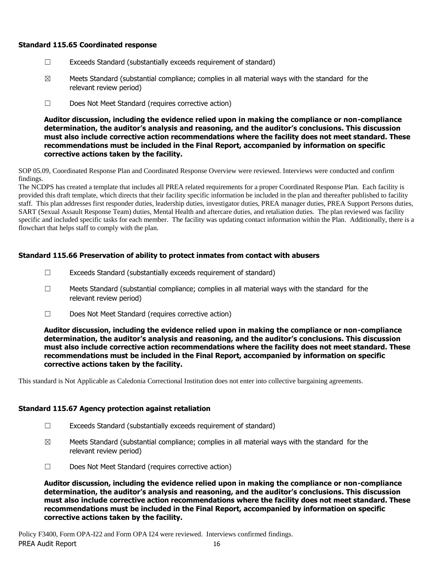## **Standard 115.65 Coordinated response**

- ☐ Exceeds Standard (substantially exceeds requirement of standard)
- $\boxtimes$  Meets Standard (substantial compliance; complies in all material ways with the standard for the relevant review period)
- ☐ Does Not Meet Standard (requires corrective action)

**Auditor discussion, including the evidence relied upon in making the compliance or non-compliance determination, the auditor's analysis and reasoning, and the auditor's conclusions. This discussion must also include corrective action recommendations where the facility does not meet standard. These recommendations must be included in the Final Report, accompanied by information on specific corrective actions taken by the facility.**

SOP 05.09, Coordinated Response Plan and Coordinated Response Overview were reviewed. Interviews were conducted and confirm findings.

The NCDPS has created a template that includes all PREA related requirements for a proper Coordinated Response Plan. Each facility is provided this draft template, which directs that their facility specific information be included in the plan and thereafter published to facility staff. This plan addresses first responder duties, leadership duties, investigator duties, PREA manager duties, PREA Support Persons duties, SART (Sexual Assault Response Team) duties, Mental Health and aftercare duties, and retaliation duties. The plan reviewed was facility specific and included specific tasks for each member. The facility was updating contact information within the Plan. Additionally, there is a flowchart that helps staff to comply with the plan.

## **Standard 115.66 Preservation of ability to protect inmates from contact with abusers**

- $\Box$  Exceeds Standard (substantially exceeds requirement of standard)
- $\Box$  Meets Standard (substantial compliance; complies in all material ways with the standard for the relevant review period)
- ☐ Does Not Meet Standard (requires corrective action)

**Auditor discussion, including the evidence relied upon in making the compliance or non-compliance determination, the auditor's analysis and reasoning, and the auditor's conclusions. This discussion must also include corrective action recommendations where the facility does not meet standard. These recommendations must be included in the Final Report, accompanied by information on specific corrective actions taken by the facility.**

This standard is Not Applicable as Caledonia Correctional Institution does not enter into collective bargaining agreements.

## **Standard 115.67 Agency protection against retaliation**

- ☐ Exceeds Standard (substantially exceeds requirement of standard)
- $\boxtimes$  Meets Standard (substantial compliance; complies in all material ways with the standard for the relevant review period)
- ☐ Does Not Meet Standard (requires corrective action)

**Auditor discussion, including the evidence relied upon in making the compliance or non-compliance determination, the auditor's analysis and reasoning, and the auditor's conclusions. This discussion must also include corrective action recommendations where the facility does not meet standard. These recommendations must be included in the Final Report, accompanied by information on specific corrective actions taken by the facility.**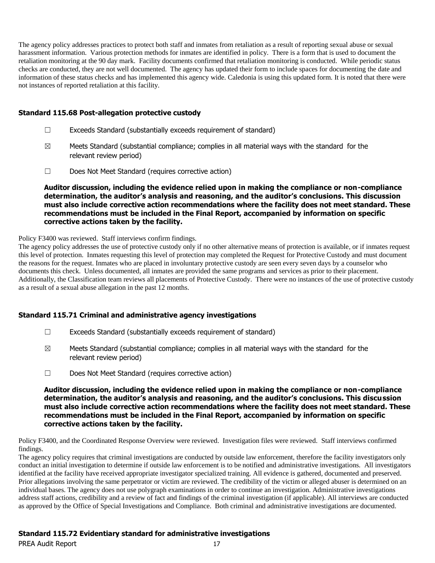The agency policy addresses practices to protect both staff and inmates from retaliation as a result of reporting sexual abuse or sexual harassment information. Various protection methods for inmates are identified in policy. There is a form that is used to document the retaliation monitoring at the 90 day mark. Facility documents confirmed that retaliation monitoring is conducted. While periodic status checks are conducted, they are not well documented. The agency has updated their form to include spaces for documenting the date and information of these status checks and has implemented this agency wide. Caledonia is using this updated form. It is noted that there were not instances of reported retaliation at this facility.

#### **Standard 115.68 Post-allegation protective custody**

- ☐ Exceeds Standard (substantially exceeds requirement of standard)
- $\boxtimes$  Meets Standard (substantial compliance; complies in all material ways with the standard for the relevant review period)
- ☐ Does Not Meet Standard (requires corrective action)

#### **Auditor discussion, including the evidence relied upon in making the compliance or non-compliance determination, the auditor's analysis and reasoning, and the auditor's conclusions. This discussion must also include corrective action recommendations where the facility does not meet standard. These recommendations must be included in the Final Report, accompanied by information on specific corrective actions taken by the facility.**

#### Policy F3400 was reviewed. Staff interviews confirm findings.

The agency policy addresses the use of protective custody only if no other alternative means of protection is available, or if inmates request this level of protection. Inmates requesting this level of protection may completed the Request for Protective Custody and must document the reasons for the request. Inmates who are placed in involuntary protective custody are seen every seven days by a counselor who documents this check. Unless documented, all inmates are provided the same programs and services as prior to their placement. Additionally, the Classification team reviews all placements of Protective Custody. There were no instances of the use of protective custody as a result of a sexual abuse allegation in the past 12 months.

## **Standard 115.71 Criminal and administrative agency investigations**

- $\Box$  Exceeds Standard (substantially exceeds requirement of standard)
- $\boxtimes$  Meets Standard (substantial compliance; complies in all material ways with the standard for the relevant review period)
- ☐ Does Not Meet Standard (requires corrective action)

**Auditor discussion, including the evidence relied upon in making the compliance or non-compliance determination, the auditor's analysis and reasoning, and the auditor's conclusions. This discussion must also include corrective action recommendations where the facility does not meet standard. These recommendations must be included in the Final Report, accompanied by information on specific corrective actions taken by the facility.**

Policy F3400, and the Coordinated Response Overview were reviewed. Investigation files were reviewed. Staff interviews confirmed findings.

The agency policy requires that criminal investigations are conducted by outside law enforcement, therefore the facility investigators only conduct an initial investigation to determine if outside law enforcement is to be notified and administrative investigations. All investigators identified at the facility have received appropriate investigator specialized training. All evidence is gathered, documented and preserved. Prior allegations involving the same perpetrator or victim are reviewed. The credibility of the victim or alleged abuser is determined on an individual bases. The agency does not use polygraph examinations in order to continue an investigation. Administrative investigations address staff actions, credibility and a review of fact and findings of the criminal investigation (if applicable). All interviews are conducted as approved by the Office of Special Investigations and Compliance. Both criminal and administrative investigations are documented.

## **Standard 115.72 Evidentiary standard for administrative investigations**

PREA Audit Report 17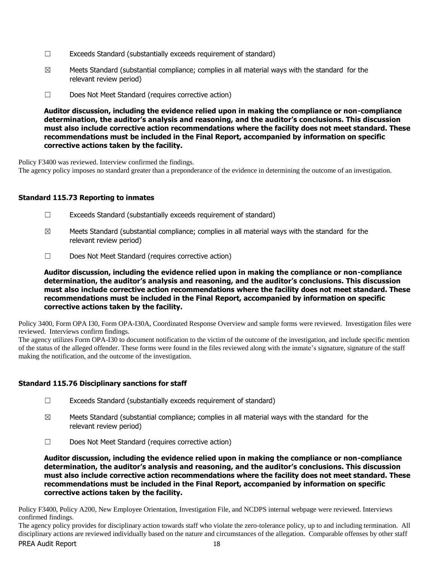- $\Box$  Exceeds Standard (substantially exceeds requirement of standard)
- $\boxtimes$  Meets Standard (substantial compliance; complies in all material ways with the standard for the relevant review period)
- ☐ Does Not Meet Standard (requires corrective action)

**Auditor discussion, including the evidence relied upon in making the compliance or non-compliance determination, the auditor's analysis and reasoning, and the auditor's conclusions. This discussion must also include corrective action recommendations where the facility does not meet standard. These recommendations must be included in the Final Report, accompanied by information on specific corrective actions taken by the facility.**

Policy F3400 was reviewed. Interview confirmed the findings.

The agency policy imposes no standard greater than a preponderance of the evidence in determining the outcome of an investigation.

#### **Standard 115.73 Reporting to inmates**

- ☐ Exceeds Standard (substantially exceeds requirement of standard)
- $\boxtimes$  Meets Standard (substantial compliance; complies in all material ways with the standard for the relevant review period)
- ☐ Does Not Meet Standard (requires corrective action)

**Auditor discussion, including the evidence relied upon in making the compliance or non-compliance determination, the auditor's analysis and reasoning, and the auditor's conclusions. This discussion must also include corrective action recommendations where the facility does not meet standard. These recommendations must be included in the Final Report, accompanied by information on specific corrective actions taken by the facility.**

Policy 3400, Form OPA I30, Form OPA-I30A, Coordinated Response Overview and sample forms were reviewed. Investigation files were reviewed. Interviews confirm findings.

The agency utilizes Form OPA-I30 to document notification to the victim of the outcome of the investigation, and include specific mention of the status of the alleged offender. These forms were found in the files reviewed along with the inmate's signature, signature of the staff making the notification, and the outcome of the investigation.

## **Standard 115.76 Disciplinary sanctions for staff**

- ☐ Exceeds Standard (substantially exceeds requirement of standard)
- $\boxtimes$  Meets Standard (substantial compliance; complies in all material ways with the standard for the relevant review period)
- ☐ Does Not Meet Standard (requires corrective action)

**Auditor discussion, including the evidence relied upon in making the compliance or non-compliance determination, the auditor's analysis and reasoning, and the auditor's conclusions. This discussion must also include corrective action recommendations where the facility does not meet standard. These recommendations must be included in the Final Report, accompanied by information on specific corrective actions taken by the facility.**

Policy F3400, Policy A200, New Employee Orientation, Investigation File, and NCDPS internal webpage were reviewed. Interviews confirmed findings.

PREA Audit Report 18 The agency policy provides for disciplinary action towards staff who violate the zero-tolerance policy, up to and including termination. All disciplinary actions are reviewed individually based on the nature and circumstances of the allegation. Comparable offenses by other staff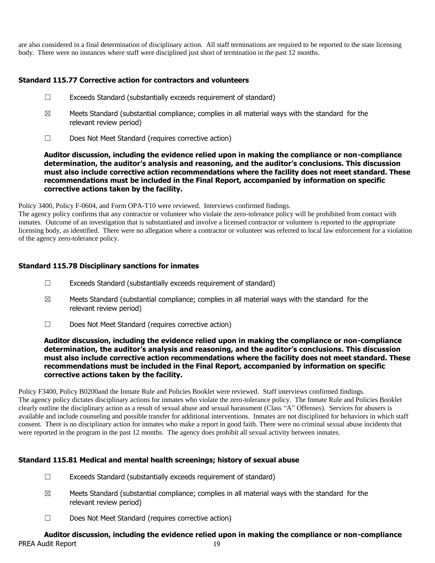are also considered in a final determination of disciplinary action. All staff terminations are required to be reported to the state licensing body. There were no instances where staff were disciplined just short of termination in the past 12 months.

# **Standard 115.77 Corrective action for contractors and volunteers**

- ☐ Exceeds Standard (substantially exceeds requirement of standard)
- $\boxtimes$  Meets Standard (substantial compliance; complies in all material ways with the standard for the relevant review period)
- ☐ Does Not Meet Standard (requires corrective action)

**Auditor discussion, including the evidence relied upon in making the compliance or non-compliance determination, the auditor's analysis and reasoning, and the auditor's conclusions. This discussion must also include corrective action recommendations where the facility does not meet standard. These recommendations must be included in the Final Report, accompanied by information on specific corrective actions taken by the facility.**

Policy 3400, Policy F-0604, and Form OPA-T10 were reviewed. Interviews confirmed findings.

The agency policy confirms that any contractor or volunteer who violate the zero-tolerance policy will be prohibited from contact with inmates. Outcome of an investigation that is substantiated and involve a licensed contractor or volunteer is reported to the appropriate licensing body, as identified. There were no allegation where a contractor or volunteer was referred to local law enforcement for a violation of the agency zero-tolerance policy.

# **Standard 115.78 Disciplinary sanctions for inmates**

- $\Box$  Exceeds Standard (substantially exceeds requirement of standard)
- $\boxtimes$  Meets Standard (substantial compliance; complies in all material ways with the standard for the relevant review period)
- ☐ Does Not Meet Standard (requires corrective action)

#### **Auditor discussion, including the evidence relied upon in making the compliance or non-compliance determination, the auditor's analysis and reasoning, and the auditor's conclusions. This discussion must also include corrective action recommendations where the facility does not meet standard. These recommendations must be included in the Final Report, accompanied by information on specific corrective actions taken by the facility.**

Policy F3400, Policy B0200and the Inmate Rule and Policies Booklet were reviewed. Staff interviews confirmed findings. The agency policy dictates disciplinary actions for inmates who violate the zero-tolerance policy. The Inmate Rule and Policies Booklet clearly outline the disciplinary action as a result of sexual abuse and sexual harassment (Class "A" Offenses). Services for abusers is available and include counseling and possible transfer for additional interventions. Inmates are not disciplined for behaviors in which staff consent. There is no disciplinary action for inmates who make a report in good faith. There were no criminal sexual abuse incidents that were reported in the program in the past 12 months. The agency does prohibit all sexual activity between inmates.

## **Standard 115.81 Medical and mental health screenings; history of sexual abuse**

- ☐ Exceeds Standard (substantially exceeds requirement of standard)
- $\boxtimes$  Meets Standard (substantial compliance; complies in all material ways with the standard for the relevant review period)
- ☐ Does Not Meet Standard (requires corrective action)

# PREA Audit Report 19 **Auditor discussion, including the evidence relied upon in making the compliance or non-compliance**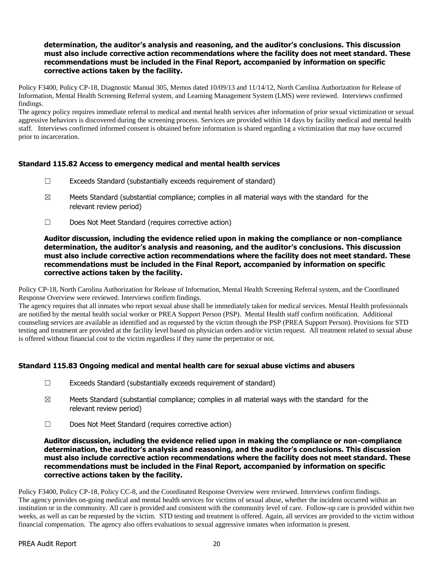# **determination, the auditor's analysis and reasoning, and the auditor's conclusions. This discussion must also include corrective action recommendations where the facility does not meet standard. These recommendations must be included in the Final Report, accompanied by information on specific corrective actions taken by the facility.**

Policy F3400, Policy CP-18, Diagnostic Manual 305, Memos dated 10/09/13 and 11/14/12, North Carolina Authorization for Release of Information, Mental Health Screening Referral system, and Learning Management System (LMS) were reviewed. Interviews confirmed findings.

The agency policy requires immediate referral to medical and mental health services after information of prior sexual victimization or sexual aggressive behaviors is discovered during the screening process. Services are provided within 14 days by facility medical and mental health staff. Interviews confirmed informed consent is obtained before information is shared regarding a victimization that may have occurred prior to incarceration.

# **Standard 115.82 Access to emergency medical and mental health services**

- $\Box$  Exceeds Standard (substantially exceeds requirement of standard)
- $\boxtimes$  Meets Standard (substantial compliance; complies in all material ways with the standard for the relevant review period)
- ☐ Does Not Meet Standard (requires corrective action)

**Auditor discussion, including the evidence relied upon in making the compliance or non-compliance determination, the auditor's analysis and reasoning, and the auditor's conclusions. This discussion must also include corrective action recommendations where the facility does not meet standard. These recommendations must be included in the Final Report, accompanied by information on specific corrective actions taken by the facility.**

Policy CP-18, North Carolina Authorization for Release of Information, Mental Health Screening Referral system, and the Coordinated Response Overview were reviewed. Interviews confirm findings.

The agency requires that all inmates who report sexual abuse shall be immediately taken for medical services. Mental Health professionals are notified by the mental health social worker or PREA Support Person (PSP). Mental Health staff confirm notification. Additional counseling services are available as identified and as requested by the victim through the PSP (PREA Support Person). Provisions for STD testing and treatment are provided at the facility level based on physician orders and/or victim request. All treatment related to sexual abuse is offered without financial cost to the victim regardless if they name the perpetrator or not.

## **Standard 115.83 Ongoing medical and mental health care for sexual abuse victims and abusers**

- ☐ Exceeds Standard (substantially exceeds requirement of standard)
- $\boxtimes$  Meets Standard (substantial compliance; complies in all material ways with the standard for the relevant review period)
- ☐ Does Not Meet Standard (requires corrective action)

**Auditor discussion, including the evidence relied upon in making the compliance or non-compliance determination, the auditor's analysis and reasoning, and the auditor's conclusions. This discussion must also include corrective action recommendations where the facility does not meet standard. These recommendations must be included in the Final Report, accompanied by information on specific corrective actions taken by the facility.**

Policy F3400, Policy CP-18, Policy CC-8, and the Coordinated Response Overview were reviewed. Interviews confirm findings. The agency provides on-going medical and mental health services for victims of sexual abuse, whether the incident occurred within an institution or in the community. All care is provided and consistent with the community level of care. Follow-up care is provided within two weeks, as well as can be requested by the victim. STD testing and treatment is offered. Again, all services are provided to the victim without financial compensation. The agency also offers evaluations to sexual aggressive inmates when information is present.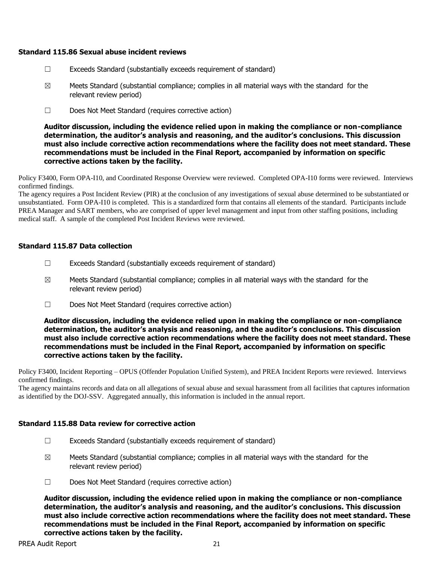#### **Standard 115.86 Sexual abuse incident reviews**

- $\Box$  Exceeds Standard (substantially exceeds requirement of standard)
- $\boxtimes$  Meets Standard (substantial compliance; complies in all material ways with the standard for the relevant review period)
- ☐ Does Not Meet Standard (requires corrective action)

**Auditor discussion, including the evidence relied upon in making the compliance or non-compliance determination, the auditor's analysis and reasoning, and the auditor's conclusions. This discussion must also include corrective action recommendations where the facility does not meet standard. These recommendations must be included in the Final Report, accompanied by information on specific corrective actions taken by the facility.**

Policy F3400, Form OPA-I10, and Coordinated Response Overview were reviewed. Completed OPA-I10 forms were reviewed. Interviews confirmed findings.

The agency requires a Post Incident Review (PIR) at the conclusion of any investigations of sexual abuse determined to be substantiated or unsubstantiated. Form OPA-I10 is completed. This is a standardized form that contains all elements of the standard. Participants include PREA Manager and SART members, who are comprised of upper level management and input from other staffing positions, including medical staff. A sample of the completed Post Incident Reviews were reviewed.

## **Standard 115.87 Data collection**

- $\Box$  Exceeds Standard (substantially exceeds requirement of standard)
- $\boxtimes$  Meets Standard (substantial compliance; complies in all material ways with the standard for the relevant review period)
- ☐ Does Not Meet Standard (requires corrective action)

**Auditor discussion, including the evidence relied upon in making the compliance or non-compliance determination, the auditor's analysis and reasoning, and the auditor's conclusions. This discussion must also include corrective action recommendations where the facility does not meet standard. These recommendations must be included in the Final Report, accompanied by information on specific corrective actions taken by the facility.**

Policy F3400, Incident Reporting – OPUS (Offender Population Unified System), and PREA Incident Reports were reviewed. Interviews confirmed findings.

The agency maintains records and data on all allegations of sexual abuse and sexual harassment from all facilities that captures information as identified by the DOJ-SSV. Aggregated annually, this information is included in the annual report.

## **Standard 115.88 Data review for corrective action**

- $\Box$  Exceeds Standard (substantially exceeds requirement of standard)
- $\boxtimes$  Meets Standard (substantial compliance; complies in all material ways with the standard for the relevant review period)
- ☐ Does Not Meet Standard (requires corrective action)

**Auditor discussion, including the evidence relied upon in making the compliance or non-compliance determination, the auditor's analysis and reasoning, and the auditor's conclusions. This discussion must also include corrective action recommendations where the facility does not meet standard. These recommendations must be included in the Final Report, accompanied by information on specific corrective actions taken by the facility.**